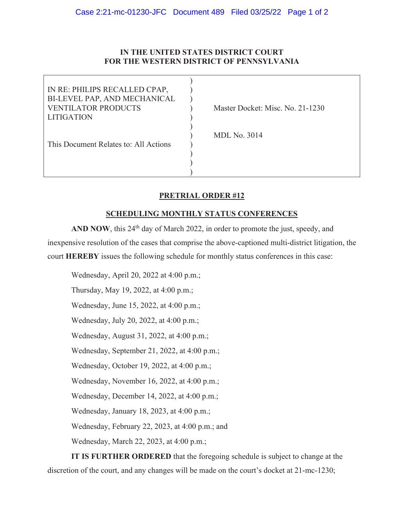## **IN THE UNITED STATES DISTRICT COURT FOR THE WESTERN DISTRICT OF PENNSYLVANIA**

| IN RE: PHILIPS RECALLED CPAP,         |                                  |
|---------------------------------------|----------------------------------|
| BI-LEVEL PAP, AND MECHANICAL          |                                  |
| <b>VENTILATOR PRODUCTS</b>            | Master Docket: Misc. No. 21-1230 |
| LITIGATION                            |                                  |
|                                       |                                  |
|                                       | <b>MDL</b> No. 3014              |
| This Document Relates to: All Actions |                                  |
|                                       |                                  |
|                                       |                                  |
|                                       |                                  |

# **PRETRIAL ORDER #12**

# **SCHEDULING MONTHLY STATUS CONFERENCES**

AND NOW, this 24<sup>th</sup> day of March 2022, in order to promote the just, speedy, and inexpensive resolution of the cases that comprise the above-captioned multi-district litigation, the court **HEREBY** issues the following schedule for monthly status conferences in this case:

Wednesday, April 20, 2022 at 4:00 p.m.; Thursday, May 19, 2022, at 4:00 p.m.; Wednesday, June 15, 2022, at 4:00 p.m.; Wednesday, July 20, 2022, at 4:00 p.m.; Wednesday, August 31, 2022, at 4:00 p.m.; Wednesday, September 21, 2022, at 4:00 p.m.; Wednesday, October 19, 2022, at 4:00 p.m.; Wednesday, November 16, 2022, at 4:00 p.m.; Wednesday, December 14, 2022, at 4:00 p.m.; Wednesday, January 18, 2023, at 4:00 p.m.; Wednesday, February 22, 2023, at 4:00 p.m.; and Wednesday, March 22, 2023, at 4:00 p.m.;

**IT IS FURTHER ORDERED** that the foregoing schedule is subject to change at the discretion of the court, and any changes will be made on the court's docket at 21-mc-1230;